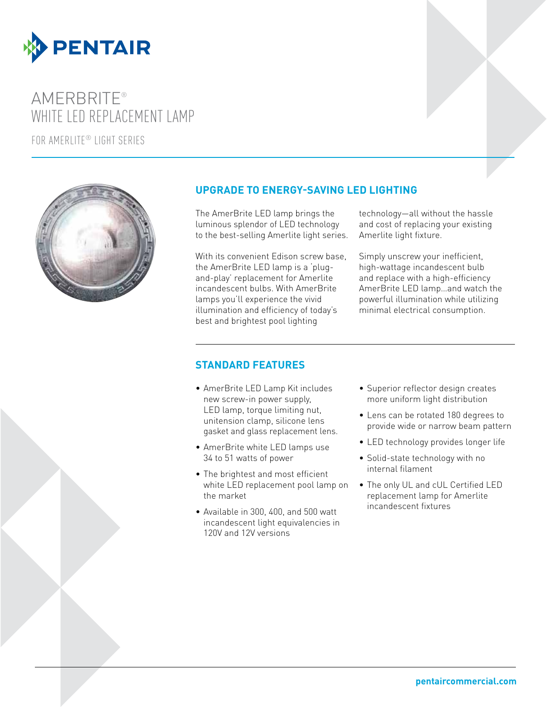

# AMERBRITE® WHITE LED REPLACEMENT LAMP

for amerlite® LIGHT series



### **UPGRADE TO ENERGY-SAVING LED LIGHTING**

The AmerBrite LED lamp brings the luminous splendor of LED technology to the best-selling Amerlite light series.

With its convenient Edison screw base, the AmerBrite LED lamp is a 'plugand-play' replacement for Amerlite incandescent bulbs. With AmerBrite lamps you'll experience the vivid illumination and efficiency of today's best and brightest pool lighting

technology—all without the hassle and cost of replacing your existing Amerlite light fixture.

Simply unscrew your inefficient, high-wattage incandescent bulb and replace with a high-efficiency AmerBrite LED lamp…and watch the powerful illumination while utilizing minimal electrical consumption.

#### **STANDARD FEATURES**

- • AmerBrite LED Lamp Kit includes new screw-in power supply, LED lamp, torque limiting nut, unitension clamp, silicone lens gasket and glass replacement lens.
- AmerBrite white LED lamps use 34 to 51 watts of power
- The brightest and most efficient white LED replacement pool lamp on the market
- Available in 300, 400, and 500 watt incandescent light equivalencies in 120V and 12V versions
- Superior reflector design creates more uniform light distribution
- • Lens can be rotated 180 degrees to provide wide or narrow beam pattern
- LED technology provides longer life
- Solid-state technology with no internal filament
- The only UL and cUL Certified LED replacement lamp for Amerlite incandescent fixtures